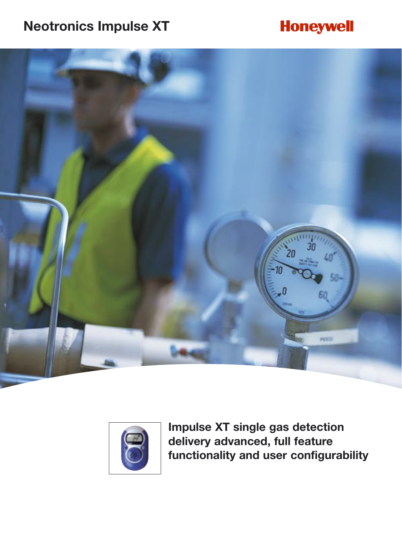## **Neotronics Impulse XT**

## **Honeywell**





**Impulse XT single gas detection delivery advanced, full feature functionality and user configurability**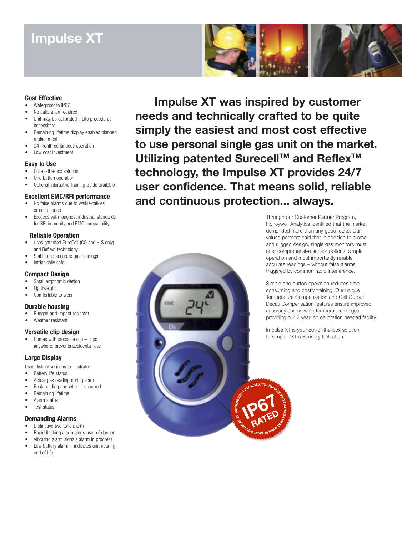### **Impulse XT**



#### **Cost Effective**

- Waterproof to IP67
- No calibration required
- Unit may be calibrated if site procedures necessitate
- Remaining lifetime display enables planned replacement
- 24 month continuous operation
- Low cost investment

#### **Easy to Use**

- Out-of-the-box solution
- One button operation
- Optional Interactive Training Guide available

#### **Excellent EMC/RFI performance**

- No false alarms due to walkie-talkies or cell phones
- Exceeds with toughest industrial standards for RFI immunity and EMC compatibility

#### **Reliable Operation**

- Uses patented SureCell (CO and  $H_2S$  only) and Reflex\* technology
- Stable and accurate gas readings
- Intrinsically safe

#### **Compact Design**

- Small ergonomic design
- **Lightweight**
- Comfortable to wear

#### **Durable housing**

- Rugged and impact resistant
- Weather resistant

#### **Versatile clip design**

Comes with crocodile  $\text{clip} - \text{clins}$ anywhere, prevents accidental loss

#### **Large Display**

Uses distinctive icons to illustrate:

- Battery life status • Actual gas reading during alarm
- Peak reading and when it occurred
- Remaining lifetime
- Alarm status
- Test status

#### **Demanding Alarms**

- Distinctive two-tone alarm
- Rapid flashing alarm alerts user of danger
- Vibrating alarm signals alarm in progress
- Low battery alarm indicates unit nearing end of life

**Impulse XT was inspired by customer needs and technically crafted to be quite simply the easiest and most cost effective to use personal single gas unit on the market.**  Utilizing patented Surecell™ and Reflex<sup>™</sup> **technology, the Impulse XT provides 24/7 user confidence. That means solid, reliable and continuous protection... always.**



Through our Customer Partner Program, Honeywell Analytics identified that the market demanded more than tiny good looks. Our valued partners said that in addition to a small and rugged design, single gas monitors must offer comprehensive sensor options, simple operation and most importantly reliable, accurate readings – without false alarms triggered by common radio interference.

Simple one button operation reduces time consuming and costly training. Our unique Temperature Compensation and Cell Output Decay Compensation features ensure improved accuracy across wide temperature ranges, providing our 2 year, no calibration needed facility.

Impulse XT is your out-of-the-box solution to simple, "XTra Sensory Detection."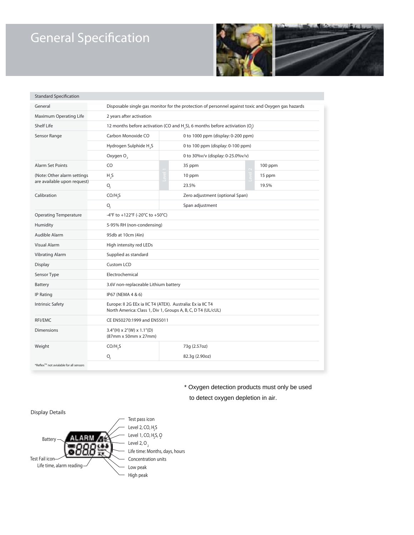# **General Specification**



| <b>Standard Specification</b>                               |                                                                                                                             |                                    |                                 |           |  |
|-------------------------------------------------------------|-----------------------------------------------------------------------------------------------------------------------------|------------------------------------|---------------------------------|-----------|--|
| General                                                     | Disposable single gas monitor for the protection of personnel against toxic and Oxygen gas hazards                          |                                    |                                 |           |  |
| Maximum Operating Life                                      | 2 years after activation                                                                                                    |                                    |                                 |           |  |
| <b>Shelf Life</b>                                           | 12 months before activation (CO and H <sub>2</sub> S), 6 months before activiation (O <sub>2</sub> )                        |                                    |                                 |           |  |
| Sensor Range                                                | Carbon Monoxide CO                                                                                                          | 0 to 1000 ppm (display: 0-200 ppm) |                                 |           |  |
|                                                             | Hydrogen Sulphide H <sub>2</sub> S                                                                                          | 0 to 100 ppm (display: 0-100 ppm)  |                                 |           |  |
|                                                             | Oxygen O <sub>2</sub>                                                                                                       | 0 to 30%v/v (display: 0-25.0%v/v)  |                                 |           |  |
| <b>Alarm Set Points</b>                                     | CO                                                                                                                          |                                    | 35 ppm                          | $100$ ppm |  |
| (Note: Other alarm settings)<br>are available upon request) | H <sub>2</sub> S                                                                                                            |                                    | 10 ppm                          | 15 ppm    |  |
|                                                             | O <sub>2</sub>                                                                                                              |                                    | 23.5%                           | 19.5%     |  |
| Calibration                                                 | CO/H, S                                                                                                                     |                                    | Zero adjustment (optional Span) |           |  |
|                                                             | O <sub>2</sub>                                                                                                              |                                    | Span adjustment                 |           |  |
| <b>Operating Temperature</b>                                | -4°F to +122°F (-20°C to +50°C)                                                                                             |                                    |                                 |           |  |
| Humidity                                                    | 5-95% RH (non-condensing)                                                                                                   |                                    |                                 |           |  |
| Audible Alarm                                               | 95db at 10cm (4in)                                                                                                          |                                    |                                 |           |  |
| <b>Visual Alarm</b>                                         | High intensity red LEDs                                                                                                     |                                    |                                 |           |  |
| <b>Vibrating Alarm</b>                                      | Supplied as standard                                                                                                        |                                    |                                 |           |  |
| Display                                                     | <b>Custom LCD</b>                                                                                                           |                                    |                                 |           |  |
| Sensor Type                                                 | Electrochemical                                                                                                             |                                    |                                 |           |  |
| <b>Battery</b>                                              | 3.6V non-replaceable Lithium battery                                                                                        |                                    |                                 |           |  |
| <b>IP Rating</b>                                            | IP67 (NEMA 4 & 6)                                                                                                           |                                    |                                 |           |  |
| <b>Intrinsic Safety</b>                                     | Europe: Il 2G EEx ia IIC T4 (ATEX). Australia: Ex ia IIC T4<br>North America: Class 1, Div 1, Groups A, B, C, D T4 (UL/cUL) |                                    |                                 |           |  |
| RFI/EMC                                                     | CE EN50270:1999 and EN55011                                                                                                 |                                    |                                 |           |  |
| <b>Dimensions</b>                                           | $3.4''(H) \times 2''(W) \times 1.1''(D)$<br>(87mm x 50mm x 27mm)                                                            |                                    |                                 |           |  |
| Weight                                                      | CO/H, S                                                                                                                     |                                    | 73g (2.57oz)                    |           |  |
|                                                             | O <sub>2</sub>                                                                                                              |                                    | 82.3g (2.90oz)                  |           |  |
| *Reflex™ not avialable for all sensors                      |                                                                                                                             |                                    |                                 |           |  |

\* Oxygen detection products must only be used

to detect oxygen depletion in air.